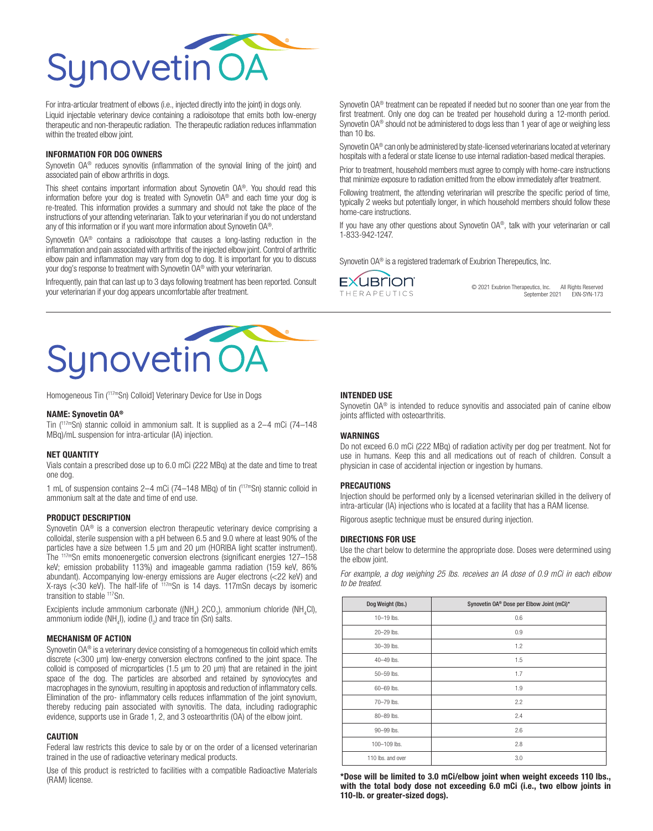

For intra-articular treatment of elbows (i.e., injected directly into the joint) in dogs only. Liquid injectable veterinary device containing a radioisotope that emits both low-energy therapeutic and non-therapeutic radiation. The therapeutic radiation reduces inflammation within the treated elbow joint.

#### INFORMATION FOR DOG OWNERS

Synovetin OA® reduces synovitis (inflammation of the synovial lining of the joint) and associated pain of elbow arthritis in dogs.

This sheet contains important information about Synovetin OA®. You should read this information before your dog is treated with Synovetin OA® and each time your dog is re-treated. This information provides a summary and should not take the place of the instructions of your attending veterinarian. Talk to your veterinarian if you do not understand any of this information or if you want more information about Synovetin OA®.

Synovetin OA<sup>®</sup> contains a radioisotope that causes a long-lasting reduction in the inflammation and pain associated with arthritis of the injected elbow joint. Control of arthritic elbow pain and inflammation may vary from dog to dog. It is important for you to discuss your dog's response to treatment with Synovetin OA® with your veterinarian.

Infrequently, pain that can last up to 3 days following treatment has been reported. Consult your veterinarian if your dog appears uncomfortable after treatment.

Synovetin OA® treatment can be repeated if needed but no sooner than one year from the first treatment. Only one dog can be treated per household during a 12-month period. Synovetin OA<sup>®</sup> should not be administered to dogs less than 1 year of age or weighing less than 10 lbs.

Synovetin OA® can only be administered by state-licensed veterinarians located at veterinary hospitals with a federal or state license to use internal radiation-based medical therapies.

Prior to treatment, household members must agree to comply with home-care instructions that minimize exposure to radiation emitted from the elbow immediately after treatment.

Following treatment, the attending veterinarian will prescribe the specific period of time, typically 2 weeks but potentially longer, in which household members should follow these home-care instructions.

If you have any other questions about Synovetin OA®, talk with your veterinarian or call 1-833-942-1247.

Synovetin OA<sup>®</sup> is a registered trademark of Exubrion Therepeutics, Inc.

**EXUBrion THERAPEUTICS** 

© 2021 Exubrion Therapeutics, Inc. All Rights Reserved September 2021 EXN-SYN-173



Homogeneous Tin (117mSn) Colloid] Veterinary Device for Use in Dogs

#### NAME: Synovetin OA®

Tin (117mSn) stannic colloid in ammonium salt. It is supplied as a 2–4 mCi (74–148 MBq)/mL suspension for intra-articular (IA) injection.

### NET QUANTITY

Vials contain a prescribed dose up to 6.0 mCi (222 MBq) at the date and time to treat one dog.

1 mL of suspension contains 2–4 mCi (74–148 MBq) of tin (<sup>117m</sup>Sn) stannic colloid in ammonium salt at the date and time of end use.

# PRODUCT DESCRIPTION

Synovetin OA® is a conversion electron therapeutic veterinary device comprising a colloidal, sterile suspension with a pH between 6.5 and 9.0 where at least 90% of the particles have a size between 1.5 μm and 20 μm (HORIBA light scatter instrument). The 117mSn emits monoenergetic conversion electrons (significant energies 127–158 keV; emission probability 113%) and imageable gamma radiation (159 keV, 86% abundant). Accompanying low-energy emissions are Auger electrons (<22 keV) and X-rays (<30 keV). The half-life of  $117 \text{ m}$ Sn is 14 days. 117mSn decays by isomeric transition to stable <sup>117</sup>Sn.

Excipients include ammonium carbonate ((NH<sub>4</sub>) 2CO<sub>3</sub>), ammonium chloride (NH<sub>4</sub>CI), ammonium iodide (NH<sub>4</sub>I), iodine (I<sub>2</sub>) and trace tin (Sn) salts.

### MECHANISM OF ACTION

Synovetin OA® is a veterinary device consisting of a homogeneous tin colloid which emits discrete (<300 μm) low-energy conversion electrons confined to the joint space. The colloid is composed of microparticles (1.5 μm to 20 μm) that are retained in the joint space of the dog. The particles are absorbed and retained by synoviocytes and macrophages in the synovium, resulting in apoptosis and reduction of inflammatory cells. Elimination of the pro- inflammatory cells reduces inflammation of the joint synovium, thereby reducing pain associated with synovitis. The data, including radiographic evidence, supports use in Grade 1, 2, and 3 osteoarthritis (OA) of the elbow joint.

## **CAUTION**

Federal law restricts this device to sale by or on the order of a licensed veterinarian trained in the use of radioactive veterinary medical products.

Use of this product is restricted to facilities with a compatible Radioactive Materials (RAM) license.

## INTENDED USE

Synovetin OA<sup>®</sup> is intended to reduce synovitis and associated pain of canine elbow joints afflicted with osteoarthritis.

#### WARNINGS

Do not exceed 6.0 mCi (222 MBq) of radiation activity per dog per treatment. Not for use in humans. Keep this and all medications out of reach of children. Consult a physician in case of accidental injection or ingestion by humans.

### PRECAUTIONS

Injection should be performed only by a licensed veterinarian skilled in the delivery of intra-articular (IA) injections who is located at a facility that has a RAM license.

Rigorous aseptic technique must be ensured during injection.

### DIRECTIONS FOR USE

Use the chart below to determine the appropriate dose. Doses were determined using the elbow joint.

*For example, a dog weighing 25 lbs. receives an IA dose of 0.9 mCi in each elbow to be treated.*

| Dog Weight (lbs.) | Synovetin OA® Dose per Elbow Joint (mCi)* |
|-------------------|-------------------------------------------|
| 10-19 lbs.        | 0.6                                       |
| 20-29 lbs.        | 0.9                                       |
| 30-39 lbs.        | 1.2                                       |
| 40-49 lbs.        | 1.5                                       |
| 50-59 lbs.        | 1.7                                       |
| 60-69 lbs.        | 1.9                                       |
| 70-79 lbs.        | 2.2                                       |
| 80-89 lbs.        | 2.4                                       |
| 90-99 lbs.        | 2.6                                       |
| 100-109 lbs.      | 2.8                                       |
| 110 lbs, and over | 3.0                                       |

\*Dose will be limited to 3.0 mCi/elbow joint when weight exceeds 110 lbs., with the total body dose not exceeding 6.0 mCi (i.e., two elbow joints in 110-lb. or greater-sized dogs).